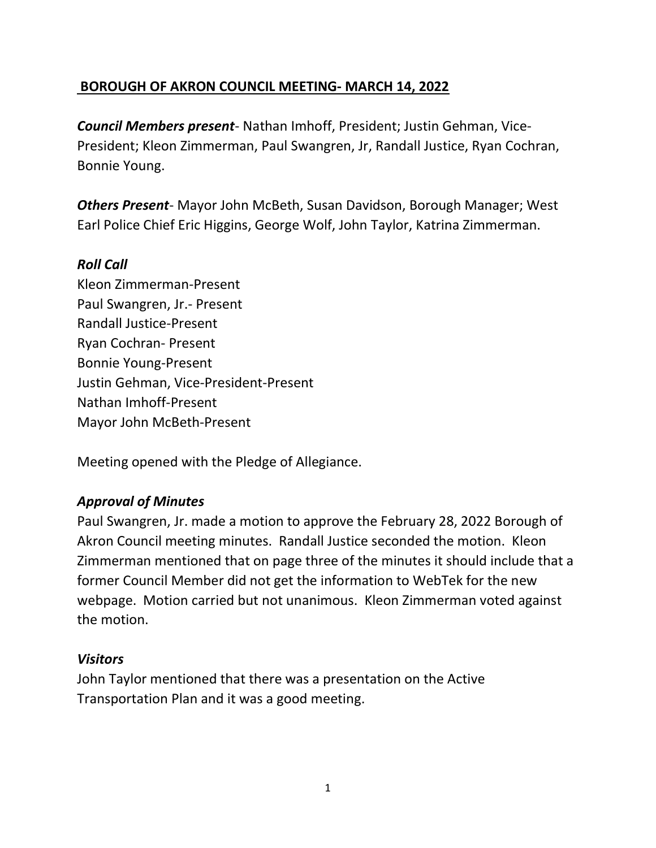# BOROUGH OF AKRON COUNCIL MEETING- MARCH 14, 2022

Council Members present- Nathan Imhoff, President; Justin Gehman, Vice-President; Kleon Zimmerman, Paul Swangren, Jr, Randall Justice, Ryan Cochran, Bonnie Young.

**Others Present-** Mayor John McBeth, Susan Davidson, Borough Manager; West Earl Police Chief Eric Higgins, George Wolf, John Taylor, Katrina Zimmerman.

### Roll Call

Kleon Zimmerman-Present Paul Swangren, Jr.- Present Randall Justice-Present Ryan Cochran- Present Bonnie Young-Present Justin Gehman, Vice-President-Present Nathan Imhoff-Present Mayor John McBeth-Present

Meeting opened with the Pledge of Allegiance.

# Approval of Minutes

Paul Swangren, Jr. made a motion to approve the February 28, 2022 Borough of Akron Council meeting minutes. Randall Justice seconded the motion. Kleon Zimmerman mentioned that on page three of the minutes it should include that a former Council Member did not get the information to WebTek for the new webpage. Motion carried but not unanimous. Kleon Zimmerman voted against the motion.

#### **Visitors**

John Taylor mentioned that there was a presentation on the Active Transportation Plan and it was a good meeting.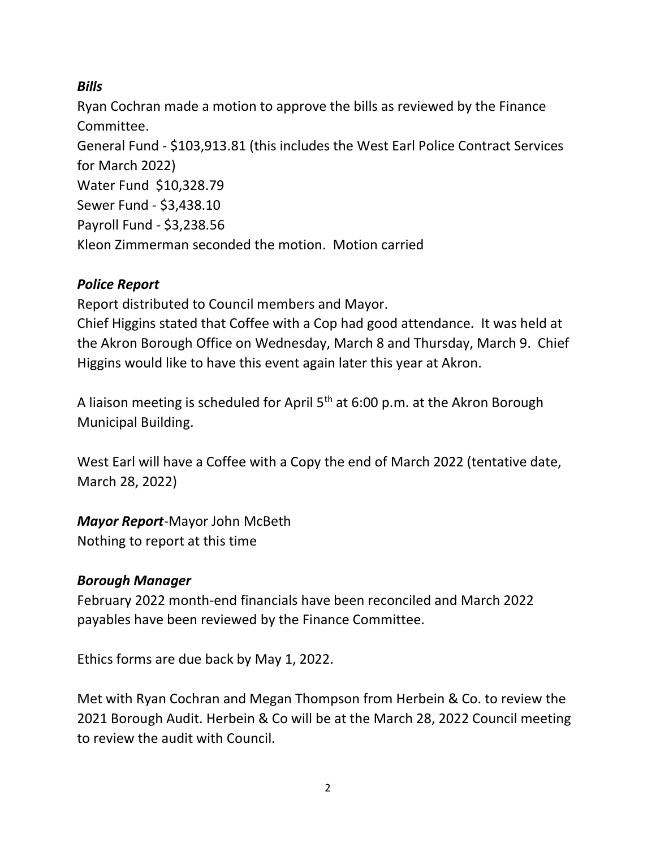# Bills

Ryan Cochran made a motion to approve the bills as reviewed by the Finance Committee. General Fund - \$103,913.81 (this includes the West Earl Police Contract Services for March 2022) Water Fund \$10,328.79 Sewer Fund - \$3,438.10 Payroll Fund - \$3,238.56 Kleon Zimmerman seconded the motion. Motion carried

# Police Report

Report distributed to Council members and Mayor.

Chief Higgins stated that Coffee with a Cop had good attendance. It was held at the Akron Borough Office on Wednesday, March 8 and Thursday, March 9. Chief Higgins would like to have this event again later this year at Akron.

A liaison meeting is scheduled for April  $5<sup>th</sup>$  at 6:00 p.m. at the Akron Borough Municipal Building.

West Earl will have a Coffee with a Copy the end of March 2022 (tentative date, March 28, 2022)

Mayor Report-Mayor John McBeth

Nothing to report at this time

# Borough Manager

February 2022 month-end financials have been reconciled and March 2022 payables have been reviewed by the Finance Committee.

Ethics forms are due back by May 1, 2022.

Met with Ryan Cochran and Megan Thompson from Herbein & Co. to review the 2021 Borough Audit. Herbein & Co will be at the March 28, 2022 Council meeting to review the audit with Council.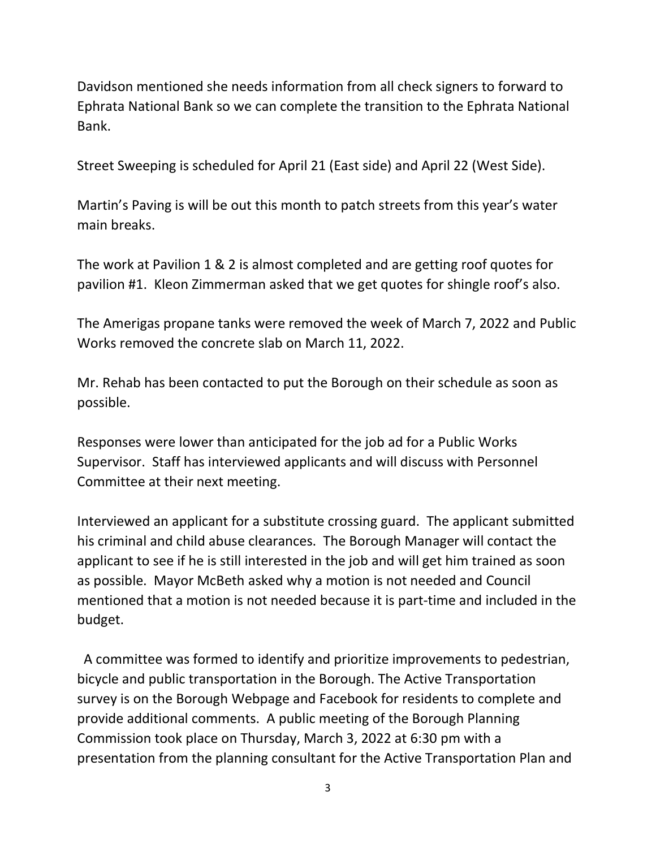Davidson mentioned she needs information from all check signers to forward to Ephrata National Bank so we can complete the transition to the Ephrata National Bank.

Street Sweeping is scheduled for April 21 (East side) and April 22 (West Side).

Martin's Paving is will be out this month to patch streets from this year's water main breaks.

The work at Pavilion 1 & 2 is almost completed and are getting roof quotes for pavilion #1. Kleon Zimmerman asked that we get quotes for shingle roof's also.

The Amerigas propane tanks were removed the week of March 7, 2022 and Public Works removed the concrete slab on March 11, 2022.

Mr. Rehab has been contacted to put the Borough on their schedule as soon as possible.

Responses were lower than anticipated for the job ad for a Public Works Supervisor. Staff has interviewed applicants and will discuss with Personnel Committee at their next meeting.

Interviewed an applicant for a substitute crossing guard. The applicant submitted his criminal and child abuse clearances. The Borough Manager will contact the applicant to see if he is still interested in the job and will get him trained as soon as possible. Mayor McBeth asked why a motion is not needed and Council mentioned that a motion is not needed because it is part-time and included in the budget.

 A committee was formed to identify and prioritize improvements to pedestrian, bicycle and public transportation in the Borough. The Active Transportation survey is on the Borough Webpage and Facebook for residents to complete and provide additional comments. A public meeting of the Borough Planning Commission took place on Thursday, March 3, 2022 at 6:30 pm with a presentation from the planning consultant for the Active Transportation Plan and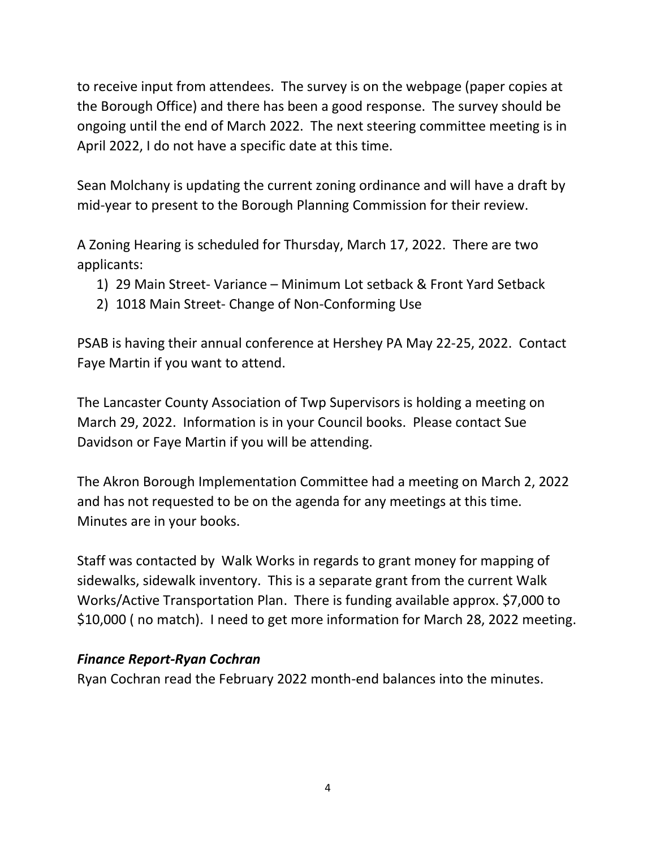to receive input from attendees. The survey is on the webpage (paper copies at the Borough Office) and there has been a good response. The survey should be ongoing until the end of March 2022. The next steering committee meeting is in April 2022, I do not have a specific date at this time.

Sean Molchany is updating the current zoning ordinance and will have a draft by mid-year to present to the Borough Planning Commission for their review.

A Zoning Hearing is scheduled for Thursday, March 17, 2022. There are two applicants:

- 1) 29 Main Street- Variance Minimum Lot setback & Front Yard Setback
- 2) 1018 Main Street- Change of Non-Conforming Use

PSAB is having their annual conference at Hershey PA May 22-25, 2022. Contact Faye Martin if you want to attend.

The Lancaster County Association of Twp Supervisors is holding a meeting on March 29, 2022. Information is in your Council books. Please contact Sue Davidson or Faye Martin if you will be attending.

The Akron Borough Implementation Committee had a meeting on March 2, 2022 and has not requested to be on the agenda for any meetings at this time. Minutes are in your books.

Staff was contacted by Walk Works in regards to grant money for mapping of sidewalks, sidewalk inventory. This is a separate grant from the current Walk Works/Active Transportation Plan. There is funding available approx. \$7,000 to \$10,000 ( no match). I need to get more information for March 28, 2022 meeting.

# Finance Report-Ryan Cochran

Ryan Cochran read the February 2022 month-end balances into the minutes.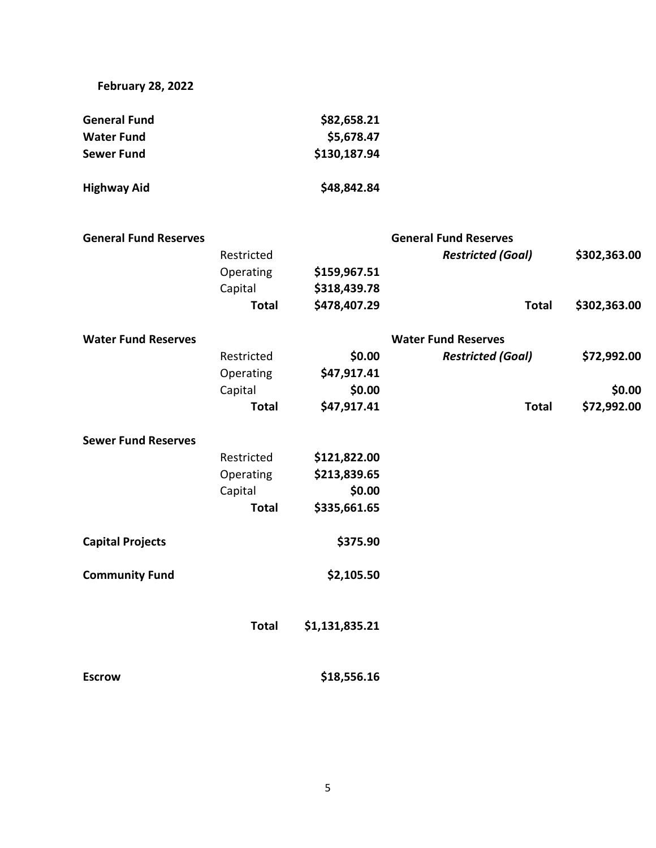February 28, 2022

| <b>General Fund</b> | \$82,658.21  |  |  |
|---------------------|--------------|--|--|
| Water Fund          | \$5,678.47   |  |  |
| Sewer Fund          | \$130,187.94 |  |  |
| Highway Aid         | \$48,842.84  |  |  |

| <b>General Fund Reserves</b> |              |                | <b>General Fund Reserves</b> |              |
|------------------------------|--------------|----------------|------------------------------|--------------|
|                              | Restricted   |                | <b>Restricted (Goal)</b>     | \$302,363.00 |
|                              | Operating    | \$159,967.51   |                              |              |
|                              | Capital      | \$318,439.78   |                              |              |
|                              | <b>Total</b> | \$478,407.29   | <b>Total</b>                 | \$302,363.00 |
| <b>Water Fund Reserves</b>   |              |                | <b>Water Fund Reserves</b>   |              |
|                              | Restricted   | \$0.00         | <b>Restricted (Goal)</b>     | \$72,992.00  |
|                              | Operating    | \$47,917.41    |                              |              |
|                              | Capital      | \$0.00         |                              | \$0.00       |
|                              | <b>Total</b> | \$47,917.41    | <b>Total</b>                 | \$72,992.00  |
| <b>Sewer Fund Reserves</b>   |              |                |                              |              |
|                              | Restricted   | \$121,822.00   |                              |              |
|                              | Operating    | \$213,839.65   |                              |              |
|                              | Capital      | \$0.00         |                              |              |
|                              | <b>Total</b> | \$335,661.65   |                              |              |
| <b>Capital Projects</b>      |              | \$375.90       |                              |              |
| <b>Community Fund</b>        |              | \$2,105.50     |                              |              |
|                              | <b>Total</b> | \$1,131,835.21 |                              |              |
| <b>Escrow</b>                |              | \$18,556.16    |                              |              |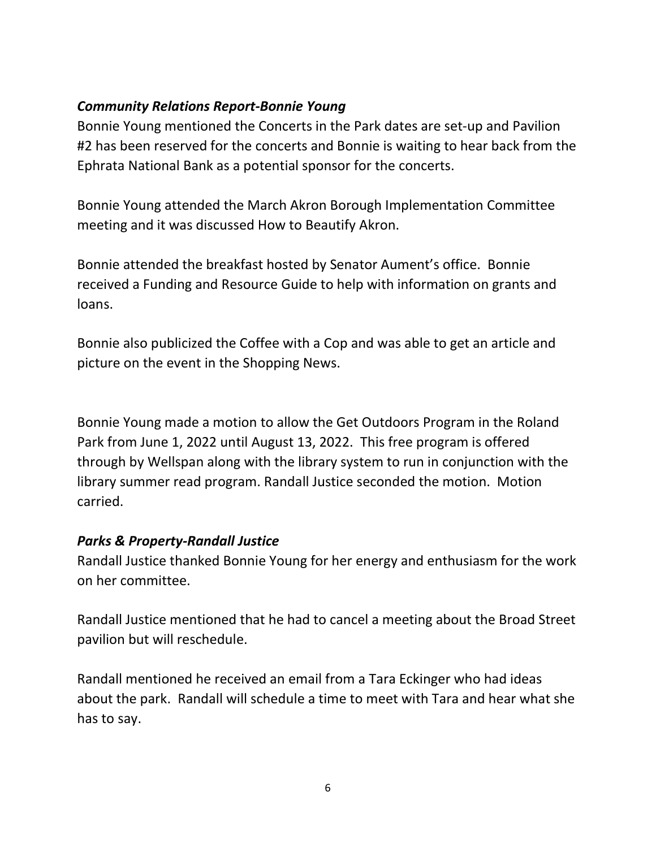#### Community Relations Report-Bonnie Young

Bonnie Young mentioned the Concerts in the Park dates are set-up and Pavilion #2 has been reserved for the concerts and Bonnie is waiting to hear back from the Ephrata National Bank as a potential sponsor for the concerts.

Bonnie Young attended the March Akron Borough Implementation Committee meeting and it was discussed How to Beautify Akron.

Bonnie attended the breakfast hosted by Senator Aument's office. Bonnie received a Funding and Resource Guide to help with information on grants and loans.

Bonnie also publicized the Coffee with a Cop and was able to get an article and picture on the event in the Shopping News.

Bonnie Young made a motion to allow the Get Outdoors Program in the Roland Park from June 1, 2022 until August 13, 2022. This free program is offered through by Wellspan along with the library system to run in conjunction with the library summer read program. Randall Justice seconded the motion. Motion carried.

# Parks & Property-Randall Justice

Randall Justice thanked Bonnie Young for her energy and enthusiasm for the work on her committee.

Randall Justice mentioned that he had to cancel a meeting about the Broad Street pavilion but will reschedule.

Randall mentioned he received an email from a Tara Eckinger who had ideas about the park. Randall will schedule a time to meet with Tara and hear what she has to say.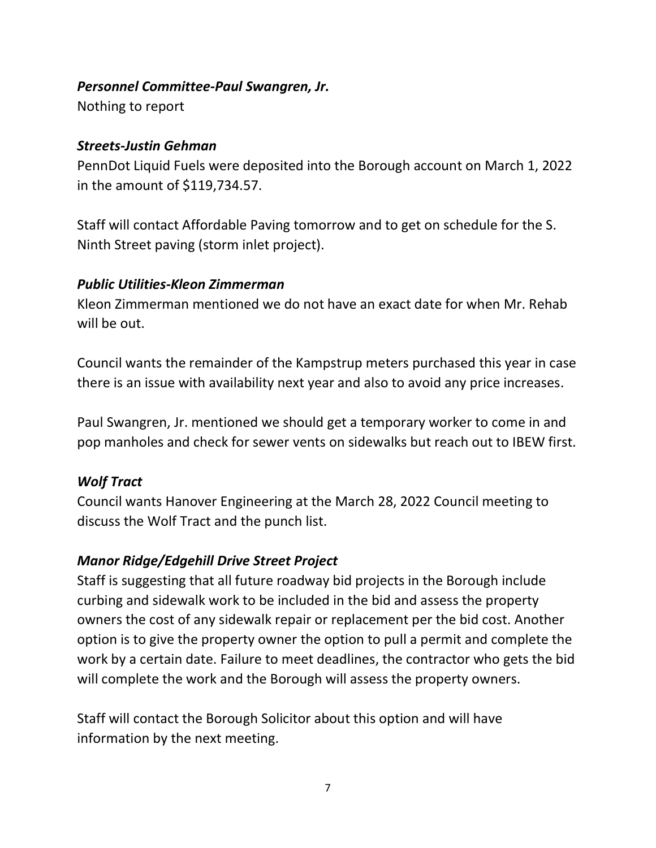#### Personnel Committee-Paul Swangren, Jr.

Nothing to report

### Streets-Justin Gehman

PennDot Liquid Fuels were deposited into the Borough account on March 1, 2022 in the amount of \$119,734.57.

Staff will contact Affordable Paving tomorrow and to get on schedule for the S. Ninth Street paving (storm inlet project).

# Public Utilities-Kleon Zimmerman

Kleon Zimmerman mentioned we do not have an exact date for when Mr. Rehab will be out.

Council wants the remainder of the Kampstrup meters purchased this year in case there is an issue with availability next year and also to avoid any price increases.

Paul Swangren, Jr. mentioned we should get a temporary worker to come in and pop manholes and check for sewer vents on sidewalks but reach out to IBEW first.

# Wolf Tract

Council wants Hanover Engineering at the March 28, 2022 Council meeting to discuss the Wolf Tract and the punch list.

# Manor Ridge/Edgehill Drive Street Project

Staff is suggesting that all future roadway bid projects in the Borough include curbing and sidewalk work to be included in the bid and assess the property owners the cost of any sidewalk repair or replacement per the bid cost. Another option is to give the property owner the option to pull a permit and complete the work by a certain date. Failure to meet deadlines, the contractor who gets the bid will complete the work and the Borough will assess the property owners.

Staff will contact the Borough Solicitor about this option and will have information by the next meeting.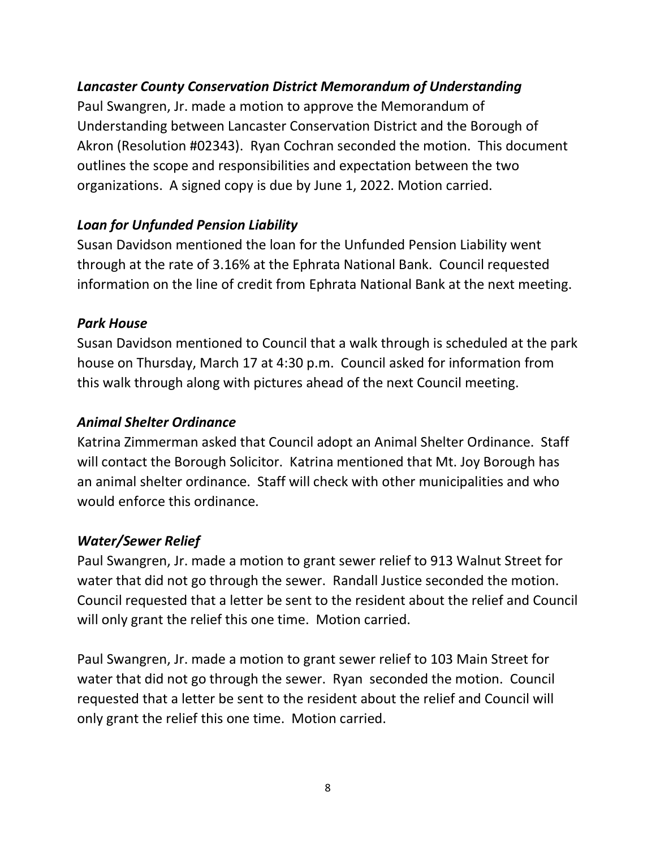### Lancaster County Conservation District Memorandum of Understanding

Paul Swangren, Jr. made a motion to approve the Memorandum of Understanding between Lancaster Conservation District and the Borough of Akron (Resolution #02343). Ryan Cochran seconded the motion. This document outlines the scope and responsibilities and expectation between the two organizations. A signed copy is due by June 1, 2022. Motion carried.

### Loan for Unfunded Pension Liability

Susan Davidson mentioned the loan for the Unfunded Pension Liability went through at the rate of 3.16% at the Ephrata National Bank. Council requested information on the line of credit from Ephrata National Bank at the next meeting.

#### Park House

Susan Davidson mentioned to Council that a walk through is scheduled at the park house on Thursday, March 17 at 4:30 p.m. Council asked for information from this walk through along with pictures ahead of the next Council meeting.

#### Animal Shelter Ordinance

Katrina Zimmerman asked that Council adopt an Animal Shelter Ordinance. Staff will contact the Borough Solicitor. Katrina mentioned that Mt. Joy Borough has an animal shelter ordinance. Staff will check with other municipalities and who would enforce this ordinance.

#### Water/Sewer Relief

Paul Swangren, Jr. made a motion to grant sewer relief to 913 Walnut Street for water that did not go through the sewer. Randall Justice seconded the motion. Council requested that a letter be sent to the resident about the relief and Council will only grant the relief this one time. Motion carried.

Paul Swangren, Jr. made a motion to grant sewer relief to 103 Main Street for water that did not go through the sewer. Ryan seconded the motion. Council requested that a letter be sent to the resident about the relief and Council will only grant the relief this one time. Motion carried.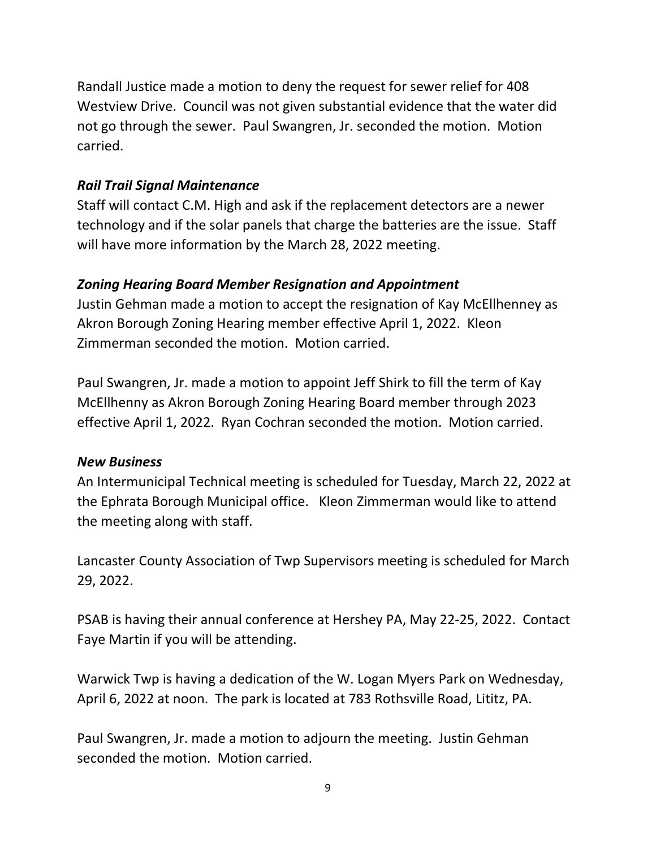Randall Justice made a motion to deny the request for sewer relief for 408 Westview Drive. Council was not given substantial evidence that the water did not go through the sewer. Paul Swangren, Jr. seconded the motion. Motion carried.

### Rail Trail Signal Maintenance

Staff will contact C.M. High and ask if the replacement detectors are a newer technology and if the solar panels that charge the batteries are the issue. Staff will have more information by the March 28, 2022 meeting.

#### Zoning Hearing Board Member Resignation and Appointment

Justin Gehman made a motion to accept the resignation of Kay McEllhenney as Akron Borough Zoning Hearing member effective April 1, 2022. Kleon Zimmerman seconded the motion. Motion carried.

Paul Swangren, Jr. made a motion to appoint Jeff Shirk to fill the term of Kay McEllhenny as Akron Borough Zoning Hearing Board member through 2023 effective April 1, 2022. Ryan Cochran seconded the motion. Motion carried.

#### New Business

An Intermunicipal Technical meeting is scheduled for Tuesday, March 22, 2022 at the Ephrata Borough Municipal office. Kleon Zimmerman would like to attend the meeting along with staff.

Lancaster County Association of Twp Supervisors meeting is scheduled for March 29, 2022.

PSAB is having their annual conference at Hershey PA, May 22-25, 2022. Contact Faye Martin if you will be attending.

Warwick Twp is having a dedication of the W. Logan Myers Park on Wednesday, April 6, 2022 at noon. The park is located at 783 Rothsville Road, Lititz, PA.

Paul Swangren, Jr. made a motion to adjourn the meeting. Justin Gehman seconded the motion. Motion carried.